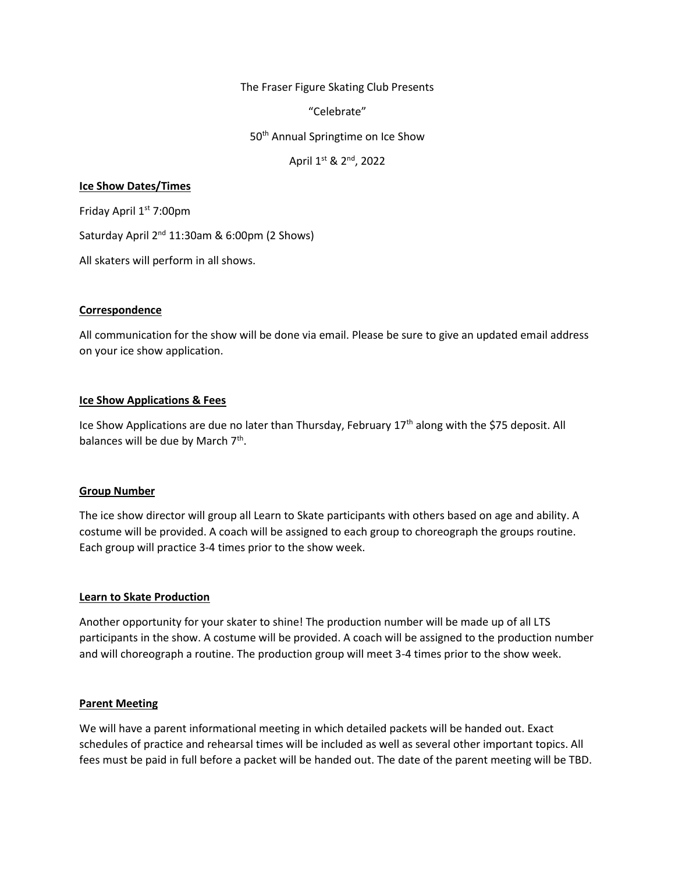The Fraser Figure Skating Club Presents

"Celebrate"

50<sup>th</sup> Annual Springtime on Ice Show

April 1st & 2<sup>nd</sup>, 2022

## **Ice Show Dates/Times**

Friday April 1st 7:00pm

Saturday April 2<sup>nd</sup> 11:30am & 6:00pm (2 Shows)

All skaters will perform in all shows.

## **Correspondence**

All communication for the show will be done via email. Please be sure to give an updated email address on your ice show application.

## **Ice Show Applications & Fees**

Ice Show Applications are due no later than Thursday, February  $17<sup>th</sup>$  along with the \$75 deposit. All balances will be due by March 7<sup>th</sup>.

#### **Group Number**

The ice show director will group all Learn to Skate participants with others based on age and ability. A costume will be provided. A coach will be assigned to each group to choreograph the groups routine. Each group will practice 3-4 times prior to the show week.

# **Learn to Skate Production**

Another opportunity for your skater to shine! The production number will be made up of all LTS participants in the show. A costume will be provided. A coach will be assigned to the production number and will choreograph a routine. The production group will meet 3-4 times prior to the show week.

#### **Parent Meeting**

We will have a parent informational meeting in which detailed packets will be handed out. Exact schedules of practice and rehearsal times will be included as well as several other important topics. All fees must be paid in full before a packet will be handed out. The date of the parent meeting will be TBD.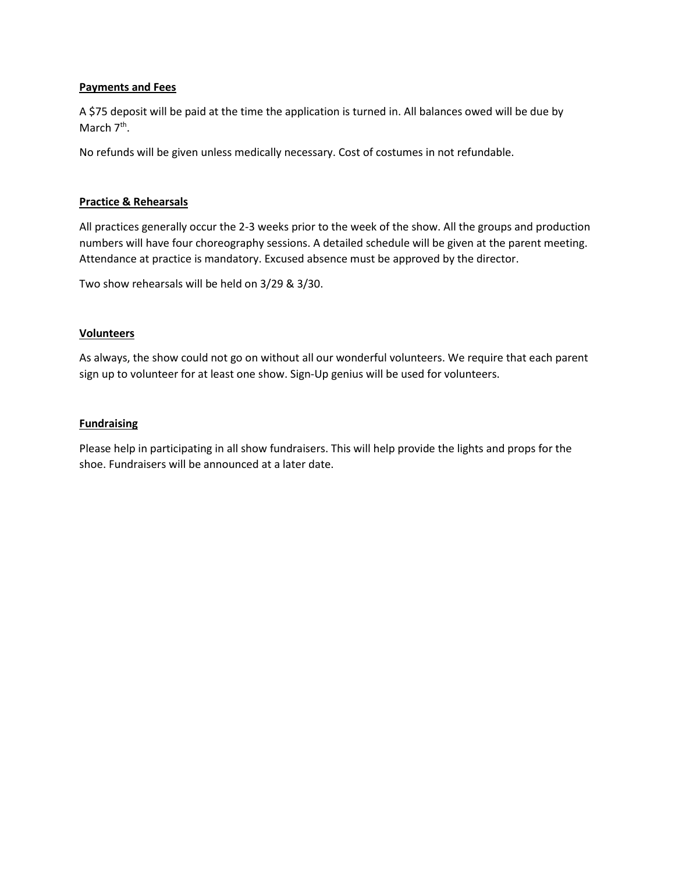# **Payments and Fees**

A \$75 deposit will be paid at the time the application is turned in. All balances owed will be due by March 7<sup>th</sup>.

No refunds will be given unless medically necessary. Cost of costumes in not refundable.

# **Practice & Rehearsals**

All practices generally occur the 2-3 weeks prior to the week of the show. All the groups and production numbers will have four choreography sessions. A detailed schedule will be given at the parent meeting. Attendance at practice is mandatory. Excused absence must be approved by the director.

Two show rehearsals will be held on 3/29 & 3/30.

## **Volunteers**

As always, the show could not go on without all our wonderful volunteers. We require that each parent sign up to volunteer for at least one show. Sign-Up genius will be used for volunteers.

## **Fundraising**

Please help in participating in all show fundraisers. This will help provide the lights and props for the shoe. Fundraisers will be announced at a later date.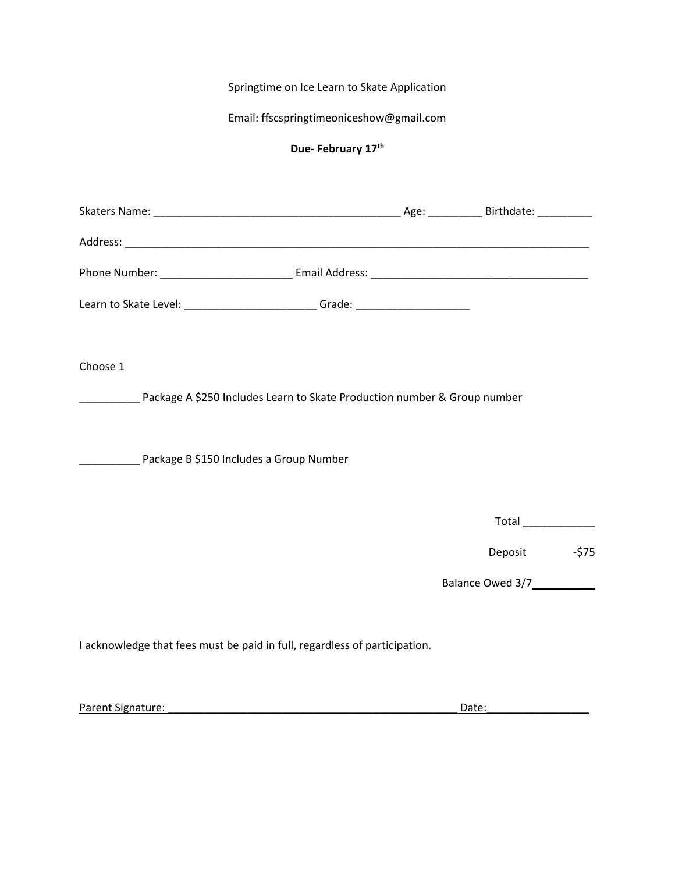Springtime on Ice Learn to Skate Application

Email: ffscspringtimeoniceshow@gmail.com

# **Due- February 17th**

| Learn to Skate Level: __________________________Grade: _________________________ |  |         |        |
|----------------------------------------------------------------------------------|--|---------|--------|
|                                                                                  |  |         |        |
| Choose 1                                                                         |  |         |        |
|                                                                                  |  |         |        |
|                                                                                  |  |         |        |
| Package B \$150 Includes a Group Number                                          |  |         |        |
|                                                                                  |  |         |        |
|                                                                                  |  |         |        |
|                                                                                  |  | Deposit | $-575$ |
|                                                                                  |  |         |        |
|                                                                                  |  |         |        |
| I acknowledge that fees must be paid in full, regardless of participation.       |  |         |        |
|                                                                                  |  |         |        |

| Parent Signature: |
|-------------------|
|-------------------|

Parent Signature: \_\_\_\_\_\_\_\_\_\_\_\_\_\_\_\_\_\_\_\_\_\_\_\_\_\_\_\_\_\_\_\_\_\_\_\_\_\_\_\_\_\_\_\_\_\_\_\_ Date:\_\_\_\_\_\_\_\_\_\_\_\_\_\_\_\_\_